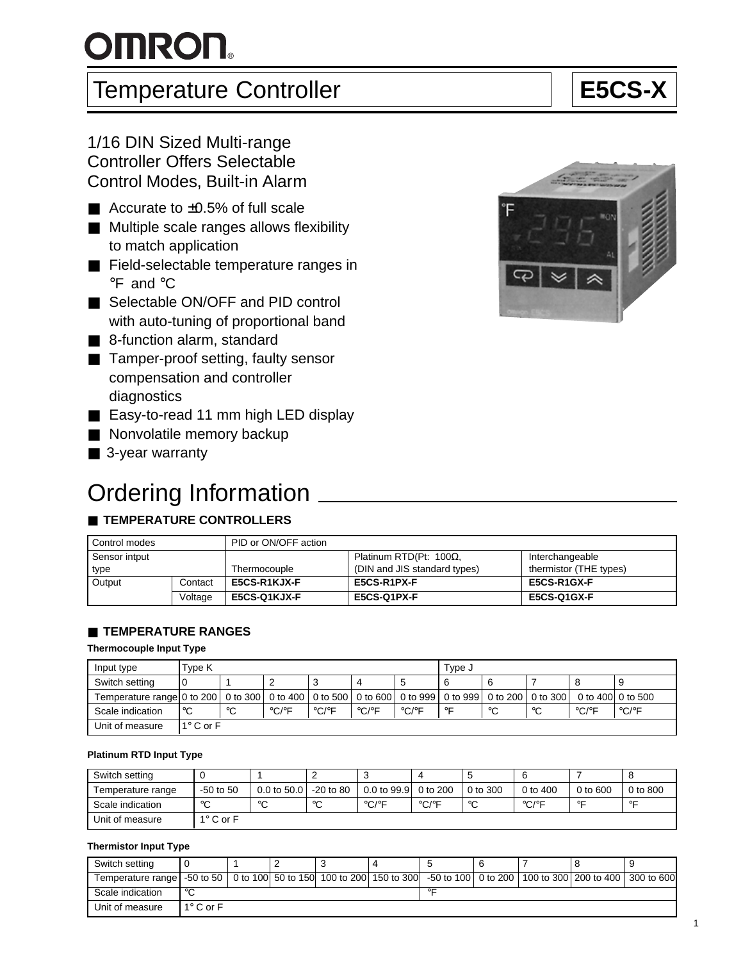# $O$ **MRON**

### Temperature Controller **Example 1** | E5CS-X

#### 1/16 DIN Sized Multi-range Controller Offers Selectable Control Modes, Built-in Alarm

- Accurate to  $±0.5%$  of full scale
- Multiple scale ranges allows flexibility to match application
- Field-selectable temperature ranges in °F and °C
- Selectable ON/OFF and PID control with auto-tuning of proportional band
- 8-function alarm, standard
- Tamper-proof setting, faulty sensor compensation and controller diagnostics
- Easy-to-read 11 mm high LED display
- Nonvolatile memory backup
- 3-year warranty

### **Ordering Information**

#### ■ **TEMPERATURE CONTROLLERS**

| Control modes |         | PID or ON/OFF action |                                |                        |
|---------------|---------|----------------------|--------------------------------|------------------------|
| Sensor intput |         |                      | Platinum RTD(Pt: $100\Omega$ . | Interchangeable        |
| type          |         | Thermocouple         | (DIN and JIS standard types)   | thermistor (THE types) |
| Output        | Contact | <b>E5CS-R1KJX-F</b>  | E5CS-R1PX-F                    | E5CS-R1GX-F            |
|               | Voltage | <b>E5CS-Q1KJX-F</b>  | E5CS-Q1PX-F                    | E5CS-Q1GX-F            |

#### ■ **TEMPERATURE RANGES**

#### **Thermocouple Input Type**

| Input type                                                                                                         | Type K             |    |       |                            |                            |                            | Type J  |    |        |                   |       |
|--------------------------------------------------------------------------------------------------------------------|--------------------|----|-------|----------------------------|----------------------------|----------------------------|---------|----|--------|-------------------|-------|
| Switch setting                                                                                                     |                    |    |       |                            | 4                          |                            |         |    |        |                   | 9     |
| Temperature range 0 to 200   0 to 300   0 to 400   0 to 500   0 to 600   0 to 999   0 to 999   0 to 200   0 to 300 |                    |    |       |                            |                            |                            |         |    |        | 0 to 400 0 to 500 |       |
| Scale indication                                                                                                   | l℃                 | °C | °C/°F | $^{\circ}$ C/ $^{\circ}$ F | $^{\circ}$ C/ $^{\circ}$ F | $^{\circ}$ C/ $^{\circ}$ F | $\circ$ | °C | $\sim$ | °C/°F             | °C/°F |
| Unit of measure                                                                                                    | $1^{\circ}$ C or F |    |       |                            |                            |                            |         |    |        |                   |       |

#### **Platinum RTD Input Type**

| Switch setting    |                  |             |              |                            |                            |              |                            |              |          |
|-------------------|------------------|-------------|--------------|----------------------------|----------------------------|--------------|----------------------------|--------------|----------|
| Temperature range | $-50$ to $50$    | 0.0 to 50.0 | -20 to 80    | 0.0 to 99.9 0 to 200       |                            | $0$ to $300$ | 0 to $400$                 | $0$ to $600$ | 0 to 800 |
| Scale indication  | $\sim$           | $\sim$<br>ັ | $\circ$<br>ີ | $^{\circ}$ C/ $^{\circ}$ F | $^{\circ}$ C/ $^{\circ}$ F | $\circ$      | $^{\circ}$ C/ $^{\circ}$ F | $\circ$      | $\circ$  |
| Unit of measure   | $1^\circ$ C or F |             |              |                            |                            |              |                            |              |          |

#### **Thermistor Input Type**

| Switch setting                                                                                                                            |                  |  |  |         |  |  |  |  |
|-------------------------------------------------------------------------------------------------------------------------------------------|------------------|--|--|---------|--|--|--|--|
| Temperature range   -50 to 50   0 to 100  50 to 150  100 to 200  150 to 300  -50 to 100   0 to 200   100 to 300   200 to 400   300 to 600 |                  |  |  |         |  |  |  |  |
| Scale indication                                                                                                                          | $\circ$          |  |  | $\circ$ |  |  |  |  |
| Unit of measure                                                                                                                           | $1^\circ$ C or F |  |  |         |  |  |  |  |



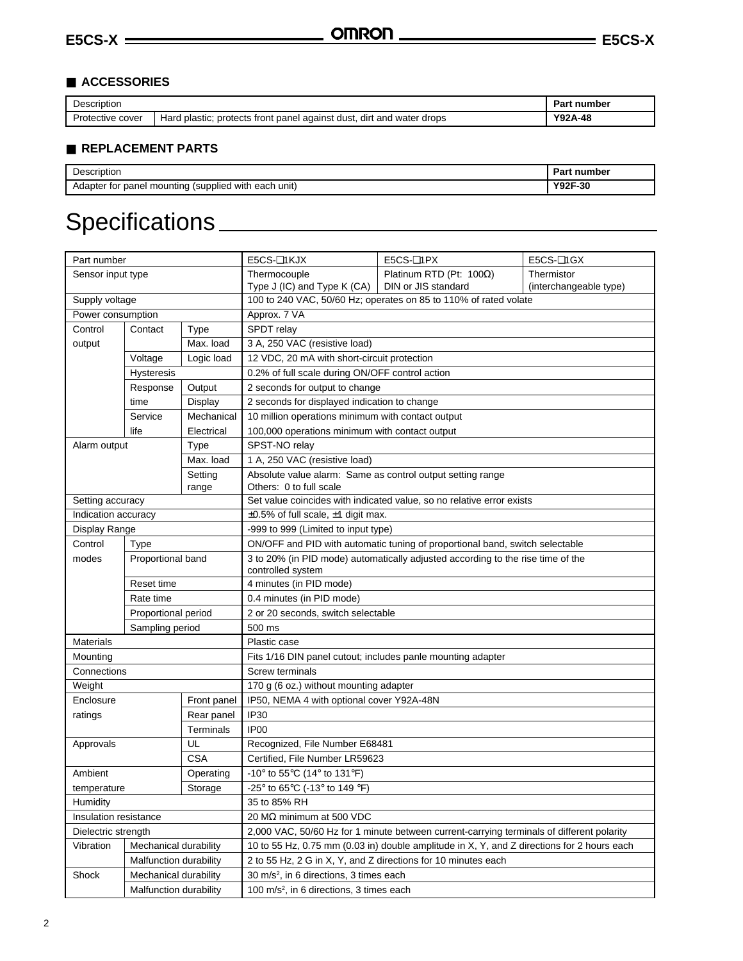#### ■ **ACCESSORIES**

| Description      |                                                                       | ⊃art<br>. number |
|------------------|-----------------------------------------------------------------------|------------------|
| Protective cover | Hard plastic; protects front panel against dust, dirt and water drops | Y92A-48          |

#### ■ **REPLACEMENT PARTS**

| -<br>Description                                                            | Part<br>. number                                                                   |
|-----------------------------------------------------------------------------|------------------------------------------------------------------------------------|
| <br>า uniti<br>Adapter for<br>(supplied)<br>, with each<br>r panel mounting | $V$ <sup><math>\cap</math><math>\cap</math><math>\cap</math></sup><br>∵∢r-30<br>9Z |

## Specifications

| Thermistor<br>Thermocouple<br>Platinum RTD (Pt: $100\Omega$ )<br>Sensor input type<br>DIN or JIS standard<br>Type J (IC) and Type K (CA)<br>(interchangeable type)<br>100 to 240 VAC, 50/60 Hz; operates on 85 to 110% of rated volate<br>Supply voltage<br>Approx. 7 VA<br>Power consumption<br>SPDT relay<br>Control<br>Type<br>Contact<br>Max. load<br>3 A, 250 VAC (resistive load)<br>output<br>Voltage<br>Logic load<br>12 VDC, 20 mA with short-circuit protection<br>0.2% of full scale during ON/OFF control action<br><b>Hysteresis</b><br>Response<br>Output<br>2 seconds for output to change<br>2 seconds for displayed indication to change<br>time<br>Display<br>Mechanical<br>10 million operations minimum with contact output<br>Service<br>life<br>Electrical<br>100,000 operations minimum with contact output<br>SPST-NO relay<br>Alarm output<br><b>Type</b><br>Max. load<br>1 A, 250 VAC (resistive load)<br>Setting<br>Absolute value alarm: Same as control output setting range<br>Others: 0 to full scale<br>range<br>Set value coincides with indicated value, so no relative error exists<br>Setting accuracy<br>Indication accuracy<br>$\pm 0.5\%$ of full scale, $\pm 1$ digit max. |
|--------------------------------------------------------------------------------------------------------------------------------------------------------------------------------------------------------------------------------------------------------------------------------------------------------------------------------------------------------------------------------------------------------------------------------------------------------------------------------------------------------------------------------------------------------------------------------------------------------------------------------------------------------------------------------------------------------------------------------------------------------------------------------------------------------------------------------------------------------------------------------------------------------------------------------------------------------------------------------------------------------------------------------------------------------------------------------------------------------------------------------------------------------------------------------------------------------------------|
|                                                                                                                                                                                                                                                                                                                                                                                                                                                                                                                                                                                                                                                                                                                                                                                                                                                                                                                                                                                                                                                                                                                                                                                                                    |
|                                                                                                                                                                                                                                                                                                                                                                                                                                                                                                                                                                                                                                                                                                                                                                                                                                                                                                                                                                                                                                                                                                                                                                                                                    |
|                                                                                                                                                                                                                                                                                                                                                                                                                                                                                                                                                                                                                                                                                                                                                                                                                                                                                                                                                                                                                                                                                                                                                                                                                    |
|                                                                                                                                                                                                                                                                                                                                                                                                                                                                                                                                                                                                                                                                                                                                                                                                                                                                                                                                                                                                                                                                                                                                                                                                                    |
|                                                                                                                                                                                                                                                                                                                                                                                                                                                                                                                                                                                                                                                                                                                                                                                                                                                                                                                                                                                                                                                                                                                                                                                                                    |
|                                                                                                                                                                                                                                                                                                                                                                                                                                                                                                                                                                                                                                                                                                                                                                                                                                                                                                                                                                                                                                                                                                                                                                                                                    |
|                                                                                                                                                                                                                                                                                                                                                                                                                                                                                                                                                                                                                                                                                                                                                                                                                                                                                                                                                                                                                                                                                                                                                                                                                    |
|                                                                                                                                                                                                                                                                                                                                                                                                                                                                                                                                                                                                                                                                                                                                                                                                                                                                                                                                                                                                                                                                                                                                                                                                                    |
|                                                                                                                                                                                                                                                                                                                                                                                                                                                                                                                                                                                                                                                                                                                                                                                                                                                                                                                                                                                                                                                                                                                                                                                                                    |
|                                                                                                                                                                                                                                                                                                                                                                                                                                                                                                                                                                                                                                                                                                                                                                                                                                                                                                                                                                                                                                                                                                                                                                                                                    |
|                                                                                                                                                                                                                                                                                                                                                                                                                                                                                                                                                                                                                                                                                                                                                                                                                                                                                                                                                                                                                                                                                                                                                                                                                    |
|                                                                                                                                                                                                                                                                                                                                                                                                                                                                                                                                                                                                                                                                                                                                                                                                                                                                                                                                                                                                                                                                                                                                                                                                                    |
|                                                                                                                                                                                                                                                                                                                                                                                                                                                                                                                                                                                                                                                                                                                                                                                                                                                                                                                                                                                                                                                                                                                                                                                                                    |
|                                                                                                                                                                                                                                                                                                                                                                                                                                                                                                                                                                                                                                                                                                                                                                                                                                                                                                                                                                                                                                                                                                                                                                                                                    |
|                                                                                                                                                                                                                                                                                                                                                                                                                                                                                                                                                                                                                                                                                                                                                                                                                                                                                                                                                                                                                                                                                                                                                                                                                    |
|                                                                                                                                                                                                                                                                                                                                                                                                                                                                                                                                                                                                                                                                                                                                                                                                                                                                                                                                                                                                                                                                                                                                                                                                                    |
|                                                                                                                                                                                                                                                                                                                                                                                                                                                                                                                                                                                                                                                                                                                                                                                                                                                                                                                                                                                                                                                                                                                                                                                                                    |
|                                                                                                                                                                                                                                                                                                                                                                                                                                                                                                                                                                                                                                                                                                                                                                                                                                                                                                                                                                                                                                                                                                                                                                                                                    |
| Display Range<br>-999 to 999 (Limited to input type)                                                                                                                                                                                                                                                                                                                                                                                                                                                                                                                                                                                                                                                                                                                                                                                                                                                                                                                                                                                                                                                                                                                                                               |
| Control<br>ON/OFF and PID with automatic tuning of proportional band, switch selectable<br><b>Type</b>                                                                                                                                                                                                                                                                                                                                                                                                                                                                                                                                                                                                                                                                                                                                                                                                                                                                                                                                                                                                                                                                                                             |
| 3 to 20% (in PID mode) automatically adjusted according to the rise time of the<br>modes<br>Proportional band                                                                                                                                                                                                                                                                                                                                                                                                                                                                                                                                                                                                                                                                                                                                                                                                                                                                                                                                                                                                                                                                                                      |
| controlled system                                                                                                                                                                                                                                                                                                                                                                                                                                                                                                                                                                                                                                                                                                                                                                                                                                                                                                                                                                                                                                                                                                                                                                                                  |
| Reset time<br>4 minutes (in PID mode)                                                                                                                                                                                                                                                                                                                                                                                                                                                                                                                                                                                                                                                                                                                                                                                                                                                                                                                                                                                                                                                                                                                                                                              |
| Rate time<br>0.4 minutes (in PID mode)                                                                                                                                                                                                                                                                                                                                                                                                                                                                                                                                                                                                                                                                                                                                                                                                                                                                                                                                                                                                                                                                                                                                                                             |
| Proportional period<br>2 or 20 seconds, switch selectable                                                                                                                                                                                                                                                                                                                                                                                                                                                                                                                                                                                                                                                                                                                                                                                                                                                                                                                                                                                                                                                                                                                                                          |
| Sampling period<br>500 ms                                                                                                                                                                                                                                                                                                                                                                                                                                                                                                                                                                                                                                                                                                                                                                                                                                                                                                                                                                                                                                                                                                                                                                                          |
| <b>Materials</b><br>Plastic case                                                                                                                                                                                                                                                                                                                                                                                                                                                                                                                                                                                                                                                                                                                                                                                                                                                                                                                                                                                                                                                                                                                                                                                   |
| Fits 1/16 DIN panel cutout; includes panle mounting adapter<br>Mounting                                                                                                                                                                                                                                                                                                                                                                                                                                                                                                                                                                                                                                                                                                                                                                                                                                                                                                                                                                                                                                                                                                                                            |
| Screw terminals<br>Connections                                                                                                                                                                                                                                                                                                                                                                                                                                                                                                                                                                                                                                                                                                                                                                                                                                                                                                                                                                                                                                                                                                                                                                                     |
| 170 g (6 oz.) without mounting adapter<br>Weight                                                                                                                                                                                                                                                                                                                                                                                                                                                                                                                                                                                                                                                                                                                                                                                                                                                                                                                                                                                                                                                                                                                                                                   |
| IP50, NEMA 4 with optional cover Y92A-48N<br>Enclosure<br>Front panel                                                                                                                                                                                                                                                                                                                                                                                                                                                                                                                                                                                                                                                                                                                                                                                                                                                                                                                                                                                                                                                                                                                                              |
| IP30<br>ratings<br>Rear panel                                                                                                                                                                                                                                                                                                                                                                                                                                                                                                                                                                                                                                                                                                                                                                                                                                                                                                                                                                                                                                                                                                                                                                                      |
| IP <sub>00</sub><br>Terminals                                                                                                                                                                                                                                                                                                                                                                                                                                                                                                                                                                                                                                                                                                                                                                                                                                                                                                                                                                                                                                                                                                                                                                                      |
| UL<br>Recognized, File Number E68481<br>Approvals                                                                                                                                                                                                                                                                                                                                                                                                                                                                                                                                                                                                                                                                                                                                                                                                                                                                                                                                                                                                                                                                                                                                                                  |
| <b>CSA</b><br>Certified, File Number LR59623                                                                                                                                                                                                                                                                                                                                                                                                                                                                                                                                                                                                                                                                                                                                                                                                                                                                                                                                                                                                                                                                                                                                                                       |
| Ambient<br>-10° to 55°C (14° to 131°F)<br>Operating                                                                                                                                                                                                                                                                                                                                                                                                                                                                                                                                                                                                                                                                                                                                                                                                                                                                                                                                                                                                                                                                                                                                                                |
| -25° to 65°C (-13° to 149 °F)<br>Storage<br>temperature                                                                                                                                                                                                                                                                                                                                                                                                                                                                                                                                                                                                                                                                                                                                                                                                                                                                                                                                                                                                                                                                                                                                                            |
| Humidity<br>35 to 85% RH                                                                                                                                                                                                                                                                                                                                                                                                                                                                                                                                                                                                                                                                                                                                                                                                                                                                                                                                                                                                                                                                                                                                                                                           |
| 20 MΩ minimum at 500 VDC<br>Insulation resistance                                                                                                                                                                                                                                                                                                                                                                                                                                                                                                                                                                                                                                                                                                                                                                                                                                                                                                                                                                                                                                                                                                                                                                  |
| Dielectric strength<br>2,000 VAC, 50/60 Hz for 1 minute between current-carrying terminals of different polarity                                                                                                                                                                                                                                                                                                                                                                                                                                                                                                                                                                                                                                                                                                                                                                                                                                                                                                                                                                                                                                                                                                   |
| 10 to 55 Hz, 0.75 mm (0.03 in) double amplitude in X, Y, and Z directions for 2 hours each<br>Vibration<br>Mechanical durability                                                                                                                                                                                                                                                                                                                                                                                                                                                                                                                                                                                                                                                                                                                                                                                                                                                                                                                                                                                                                                                                                   |
| Malfunction durability<br>2 to 55 Hz, 2 G in X, Y, and Z directions for 10 minutes each                                                                                                                                                                                                                                                                                                                                                                                                                                                                                                                                                                                                                                                                                                                                                                                                                                                                                                                                                                                                                                                                                                                            |
| Shock<br>Mechanical durability<br>30 m/s <sup>2</sup> , in 6 directions, 3 times each                                                                                                                                                                                                                                                                                                                                                                                                                                                                                                                                                                                                                                                                                                                                                                                                                                                                                                                                                                                                                                                                                                                              |
| Malfunction durability<br>100 m/s <sup>2</sup> , in 6 directions, 3 times each                                                                                                                                                                                                                                                                                                                                                                                                                                                                                                                                                                                                                                                                                                                                                                                                                                                                                                                                                                                                                                                                                                                                     |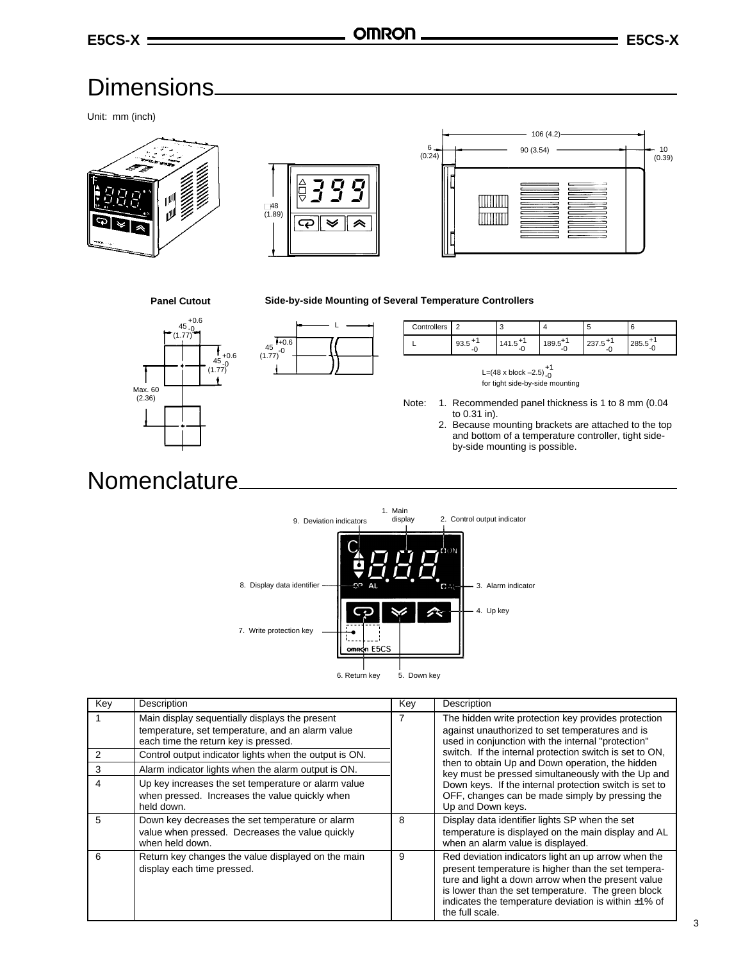**Side-by-side Mounting of Several Temperature Controllers**

### Dimensions

Unit: mm (inch)







#### **Panel Cutout**

#### $+0.6$ <br> $-0.$ )۔ 45<br>(1.77) +0.6<br><u>-</u>0 )۔ 45<br>(1.77) t Max. 60 (2.36)



| Controllers | $\sqrt{2}$ |          |        |               |            |
|-------------|------------|----------|--------|---------------|------------|
|             | ອວ.ວ<br>-  | ن. ۱ + ۱ | າ ດລາວ | ں. ان ے<br>-- | د.ں20<br>- |

L=(48 x block  $-2.5$ ) $^{+1}_{-0}$ for tight side-by-side mounting

Note: 1. Recommended panel thickness is 1 to 8 mm (0.04 to 0.31 in).

2. Because mounting brackets are attached to the top and bottom of a temperature controller, tight sideby-side mounting is possible.

### Nomenclature



| Key            | Description                                                                                                                                | Key | Description                                                                                                                                                                                                                                                                                             |
|----------------|--------------------------------------------------------------------------------------------------------------------------------------------|-----|---------------------------------------------------------------------------------------------------------------------------------------------------------------------------------------------------------------------------------------------------------------------------------------------------------|
|                | Main display sequentially displays the present<br>temperature, set temperature, and an alarm value<br>each time the return key is pressed. |     | The hidden write protection key provides protection<br>against unauthorized to set temperatures and is<br>used in conjunction with the internal "protection"                                                                                                                                            |
| $\overline{2}$ | Control output indicator lights when the output is ON.                                                                                     |     | switch. If the internal protection switch is set to ON,                                                                                                                                                                                                                                                 |
| 3              | Alarm indicator lights when the alarm output is ON.                                                                                        |     | then to obtain Up and Down operation, the hidden<br>key must be pressed simultaneously with the Up and                                                                                                                                                                                                  |
| 4              | Up key increases the set temperature or alarm value<br>when pressed. Increases the value quickly when<br>held down.                        |     | Down keys. If the internal protection switch is set to<br>OFF, changes can be made simply by pressing the<br>Up and Down keys.                                                                                                                                                                          |
| 5              | Down key decreases the set temperature or alarm                                                                                            | 8   | Display data identifier lights SP when the set                                                                                                                                                                                                                                                          |
|                | value when pressed. Decreases the value quickly<br>when held down.                                                                         |     | temperature is displayed on the main display and AL<br>when an alarm value is displayed.                                                                                                                                                                                                                |
| 6              | Return key changes the value displayed on the main<br>display each time pressed.                                                           | 9   | Red deviation indicators light an up arrow when the<br>present temperature is higher than the set tempera-<br>ture and light a down arrow when the present value<br>is lower than the set temperature. The green block<br>indicates the temperature deviation is within $\pm 1\%$ of<br>the full scale. |